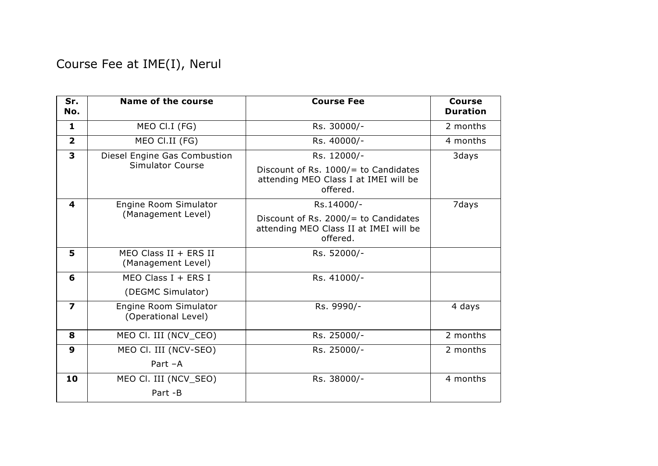Course Fee at IME(I), Nerul

| Sr.<br>No.              | <b>Name of the course</b>                     | <b>Course Fee</b>                                                                             | <b>Course</b><br><b>Duration</b> |
|-------------------------|-----------------------------------------------|-----------------------------------------------------------------------------------------------|----------------------------------|
| 1                       | MEO CI.I (FG)                                 | Rs. 30000/-                                                                                   | 2 months                         |
| $\overline{2}$          | MEO CI.II (FG)                                | Rs. 40000/-                                                                                   | 4 months                         |
| $\overline{\mathbf{3}}$ | Diesel Engine Gas Combustion                  | Rs. 12000/-                                                                                   | 3days                            |
|                         | <b>Simulator Course</b>                       | Discount of Rs. 1000/= to Candidates<br>attending MEO Class I at IMEI will be<br>offered.     |                                  |
| $\boldsymbol{4}$        | Engine Room Simulator                         | Rs.14000/-                                                                                    | 7days                            |
|                         | (Management Level)                            | Discount of Rs. 2000/ $=$ to Candidates<br>attending MEO Class II at IMEI will be<br>offered. |                                  |
| 5                       | MEO Class $II + ERS II$<br>(Management Level) | Rs. 52000/-                                                                                   |                                  |
| 6                       | MEO Class $I + ERS I$                         | Rs. 41000/-                                                                                   |                                  |
|                         | (DEGMC Simulator)                             |                                                                                               |                                  |
| $\overline{\mathbf{z}}$ | Engine Room Simulator<br>(Operational Level)  | Rs. 9990/-                                                                                    | 4 days                           |
| 8                       | MEO CI. III (NCV_CEO)                         | Rs. 25000/-                                                                                   | 2 months                         |
| 9                       | MEO CI. III (NCV-SEO)                         | Rs. 25000/-                                                                                   | 2 months                         |
|                         | Part -A                                       |                                                                                               |                                  |
| 10                      | MEO CI. III (NCV_SEO)                         | Rs. 38000/-                                                                                   | 4 months                         |
|                         | Part -B                                       |                                                                                               |                                  |